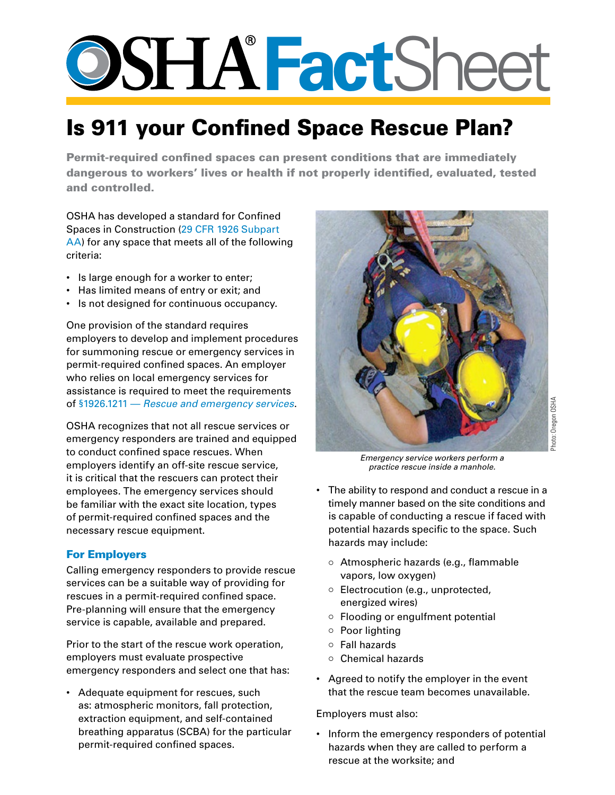# **Fact**Sheet

# Is 911 your Confined Space Rescue Plan?

Permit-required confined spaces can present conditions that are immediately dangerous to workers' lives or health if not properly identified, evaluated, tested and controlled.

OSHA has developed a standard for Confined Spaces in Construction ([29 CFR 1926 Subpart](http://www.osha.gov/pls/oshaweb/owadisp.show_document?p_table=STANDARDS&p_id=14215)  [AA\)](http://www.osha.gov/pls/oshaweb/owadisp.show_document?p_table=STANDARDS&p_id=14215) for any space that meets all of the following criteria:

- Is large enough for a worker to enter;
- Has limited means of entry or exit; and
- Is not designed for continuous occupancy.

One provision of the standard requires employers to develop and implement procedures for summoning rescue or emergency services in permit-required confined spaces. An employer who relies on local emergency services for assistance is required to meet the requirements of §1926.1211 — *[Rescue and emergency services](http://www.osha.gov/pls/oshaweb/owadisp.show_document?p_table=STANDARDS&p_id=997)*.

OSHA recognizes that not all rescue services or emergency responders are trained and equipped to conduct confined space rescues. When employers identify an off-site rescue service, it is critical that the rescuers can protect their employees. The emergency services should be familiar with the exact site location, types of permit-required confined spaces and the necessary rescue equipment.

## For Employers

Calling emergency responders to provide rescue services can be a suitable way of providing for rescues in a permit-required confined space. Pre-planning will ensure that the emergency service is capable, available and prepared.

Prior to the start of the rescue work operation, employers must evaluate prospective emergency responders and select one that has:

• Adequate equipment for rescues, such as: atmospheric monitors, fall protection, extraction equipment, and self-contained breathing apparatus (SCBA) for the particular permit-required confined spaces.



*Emergency service workers perform a practice rescue inside a manhole.*

- The ability to respond and conduct a rescue in a timely manner based on the site conditions and is capable of conducting a rescue if faced with potential hazards specific to the space. Such hazards may include:
	- o Atmospheric hazards (e.g., flammable vapors, low oxygen)
	- $\circ$  Electrocution (e.g., unprotected, energized wires)
	- $\circ$  Flooding or engulfment potential
	- $\circ$  Poor lighting
	- $\circ$  Fall hazards
	- $\circ$  Chemical hazards
- Agreed to notify the employer in the event that the rescue team becomes unavailable.

Employers must also:

• Inform the emergency responders of potential hazards when they are called to perform a rescue at the worksite; and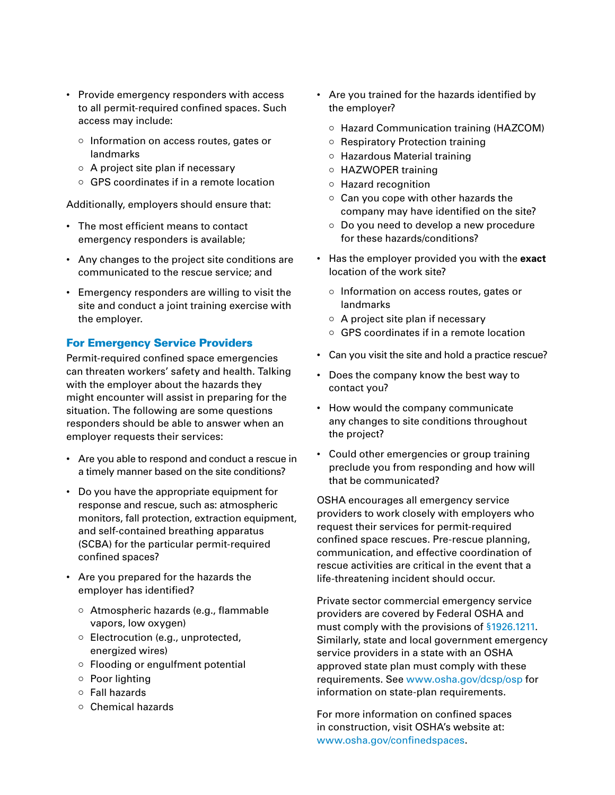- Provide emergency responders with access to all permit-required confined spaces. Such access may include:
	- o Information on access routes, gates or landmarks
	- $\circ$  A project site plan if necessary
	- { GPS coordinates if in a remote location

Additionally, employers should ensure that:

- The most efficient means to contact emergency responders is available;
- Any changes to the project site conditions are communicated to the rescue service; and
- Emergency responders are willing to visit the site and conduct a joint training exercise with the employer.

#### For Emergency Service Providers

Permit-required confined space emergencies can threaten workers' safety and health. Talking with the employer about the hazards they might encounter will assist in preparing for the situation. The following are some questions responders should be able to answer when an employer requests their services:

- Are you able to respond and conduct a rescue in a timely manner based on the site conditions?
- Do you have the appropriate equipment for response and rescue, such as: atmospheric monitors, fall protection, extraction equipment, and self-contained breathing apparatus (SCBA) for the particular permit-required confined spaces?
- Are you prepared for the hazards the employer has identified?
	- { Atmospheric hazards (e.g., flammable vapors, low oxygen)
	- $\circ$  Electrocution (e.g., unprotected, energized wires)
	- $\circ$  Flooding or engulfment potential
	- $\circ$  Poor lighting
	- { Fall hazards
	- $\circ$  Chemical hazards
- Are you trained for the hazards identified by the employer?
	- Hazard Communication training (HAZCOM)
	- $\circ$  Respiratory Protection training
	- o Hazardous Material training
	- HAZWOPER training
	- { Hazard recognition
	- $\circ$  Can you cope with other hazards the company may have identified on the site?
	- $\circ$  Do you need to develop a new procedure for these hazards/conditions?
- Has the employer provided you with the **exact** location of the work site?
	- o Information on access routes, gates or landmarks
	- $\circ$  A project site plan if necessary
	- GPS coordinates if in a remote location
- Can you visit the site and hold a practice rescue?
- Does the company know the best way to contact you?
- How would the company communicate any changes to site conditions throughout the project?
- Could other emergencies or group training preclude you from responding and how will that be communicated?

OSHA encourages all emergency service providers to work closely with employers who request their services for permit-required confined space rescues. Pre-rescue planning, communication, and effective coordination of rescue activities are critical in the event that a life-threatening incident should occur.

Private sector commercial emergency service providers are covered by Federal OSHA and must comply with the provisions of [§1926.1211.](http://www.osha.gov/pls/oshaweb/owadisp.show_document?p_table=STANDARDS&p_id=997) Similarly, state and local government emergency service providers in a state with an OSHA approved state plan must comply with these requirements. See [www.osha.gov/dcsp/osp](http://www.osha.gov/dcsp/osp) for information on state-plan requirements.

For more information on confined spaces in construction, visit OSHA's website at: [www.osha.gov/confinedspaces.](http://www.osha.gov/confinedspaces)